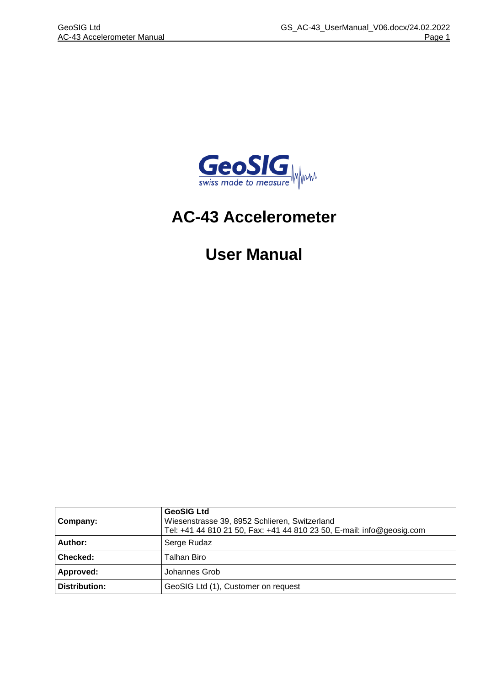

# **AC-43 Accelerometer**

# **User Manual**

| <b>GeoSIG Ltd</b><br>Wiesenstrasse 39, 8952 Schlieren, Switzerland<br>Company:<br>Tel: +41 44 810 21 50, Fax: +41 44 810 23 50, E-mail: info@geosig.com |                                     |
|---------------------------------------------------------------------------------------------------------------------------------------------------------|-------------------------------------|
| Author:                                                                                                                                                 | Serge Rudaz                         |
| Checked:                                                                                                                                                | Talhan Biro                         |
| Approved:                                                                                                                                               | Johannes Grob                       |
| Distribution:                                                                                                                                           | GeoSIG Ltd (1), Customer on request |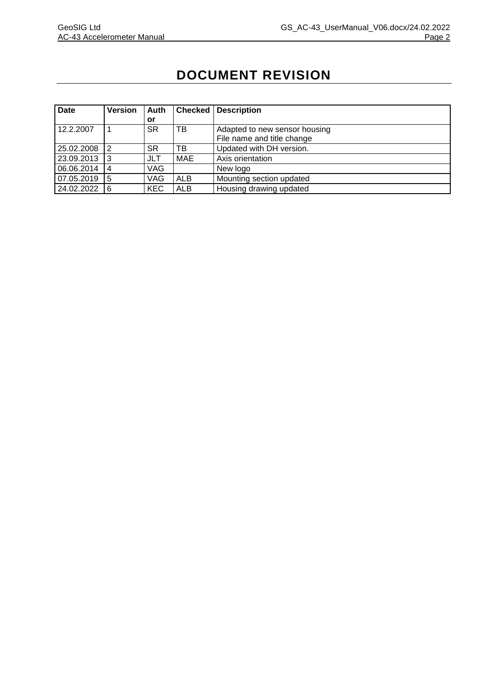# **DOCUMENT REVISION**

| Date       | <b>Version</b> | Auth       | <b>Checked</b> | <b>Description</b>            |  |
|------------|----------------|------------|----------------|-------------------------------|--|
|            |                | or         |                |                               |  |
| 12.2.2007  |                | SR         | ТB             | Adapted to new sensor housing |  |
|            |                |            |                | File name and title change    |  |
| 25.02.2008 | $\overline{2}$ | SR         | тв             | Updated with DH version.      |  |
| 23.09.2013 | $\overline{3}$ | JLT        | <b>MAE</b>     | Axis orientation              |  |
| 06.06.2014 | l 4            | VAG        |                | New logo                      |  |
| 07.05.2019 | 15             | VAG        | <b>ALB</b>     | Mounting section updated      |  |
| 24.02.2022 | <b>6</b>       | <b>KEC</b> | ALB            | Housing drawing updated       |  |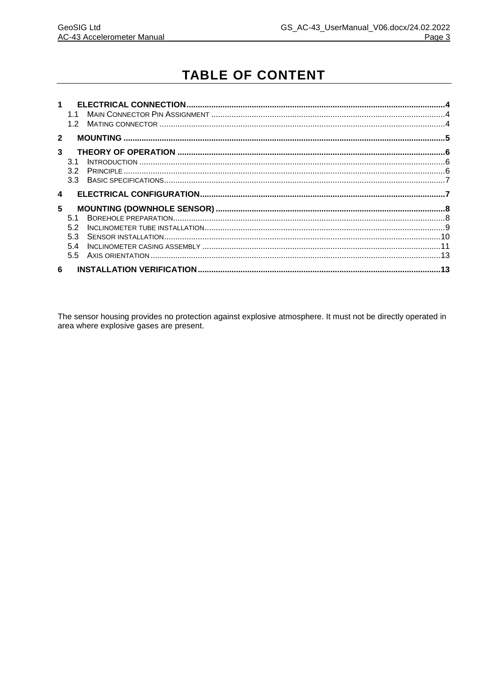# **TABLE OF CONTENT**

| $\blacktriangleleft$ | 1.1             |  |
|----------------------|-----------------|--|
|                      | 12 <sub>2</sub> |  |
| $\mathbf{2}$         |                 |  |
| 3                    |                 |  |
|                      | 31              |  |
|                      | 3.2             |  |
|                      |                 |  |
| $\blacktriangle$     |                 |  |
| 5                    |                 |  |
|                      | 51              |  |
|                      | 52              |  |
|                      | 53              |  |
|                      | 5.4             |  |
|                      | $5.5 -$         |  |
| 6                    |                 |  |

The sensor housing provides no protection against explosive atmosphere. It must not be directly operated in area where explosive gases are present.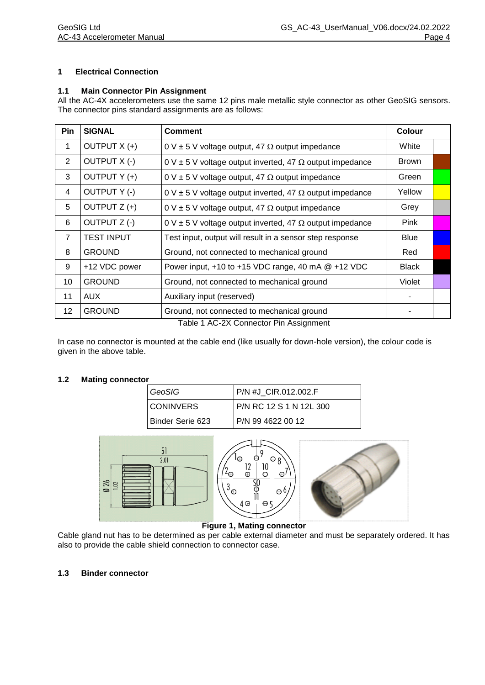#### **1 Electrical Connection**

#### **1.1 Main Connector Pin Assignment**

All the AC-4X accelerometers use the same 12 pins male metallic style connector as other GeoSIG sensors. The connector pins standard assignments are as follows:

| Pin            | <b>SIGNAL</b>       | <b>Comment</b>                                                                                                                                                                                                                               | Colour       |  |
|----------------|---------------------|----------------------------------------------------------------------------------------------------------------------------------------------------------------------------------------------------------------------------------------------|--------------|--|
| $\mathbf{1}$   | OUTPUT X (+)        | $0 \vee \pm 5 \vee$ voltage output, 47 $\Omega$ output impedance                                                                                                                                                                             | White        |  |
| $\overline{2}$ | <b>OUTPUT X (-)</b> | $0 \vee \pm 5 \vee$ voltage output inverted, 47 $\Omega$ output impedance                                                                                                                                                                    | <b>Brown</b> |  |
| 3              | OUTPUT Y (+)        | $0 \vee \pm 5 \vee$ voltage output, 47 $\Omega$ output impedance                                                                                                                                                                             | Green        |  |
| 4              | OUTPUT Y (-)        | $0 \vee \pm 5 \vee$ voltage output inverted, 47 $\Omega$ output impedance                                                                                                                                                                    | Yellow       |  |
| 5              | OUTPUT Z (+)        | $0 \vee \pm 5 \vee$ voltage output, 47 $\Omega$ output impedance                                                                                                                                                                             | Grey         |  |
| 6              | OUTPUT Z (-)        | $0 \vee \pm 5 \vee$ voltage output inverted, 47 $\Omega$ output impedance                                                                                                                                                                    | Pink         |  |
| $\overline{7}$ | <b>TEST INPUT</b>   | Test input, output will result in a sensor step response                                                                                                                                                                                     | <b>Blue</b>  |  |
| 8              | <b>GROUND</b>       | Ground, not connected to mechanical ground                                                                                                                                                                                                   | Red          |  |
| 9              | +12 VDC power       | Power input, $+10$ to $+15$ VDC range, 40 mA $@ +12$ VDC                                                                                                                                                                                     | <b>Black</b> |  |
| 10             | <b>GROUND</b>       | Ground, not connected to mechanical ground                                                                                                                                                                                                   | Violet       |  |
| 11             | <b>AUX</b>          | Auxiliary input (reserved)                                                                                                                                                                                                                   |              |  |
| 12             | <b>GROUND</b>       | Ground, not connected to mechanical ground<br>$T - 11 - 4$ A $\bigcirc$ $\bigcirc$ $\bigcirc$ $\bigcirc$ $\bigcirc$ $\bigcirc$ $\bigcirc$ $\bigcirc$ $\bigcirc$ $\bigcirc$ $\bigcirc$ $\bigcirc$ $\bigcirc$ $\bigcirc$ $\bigcirc$ $\bigcirc$ |              |  |

Table 1 AC-2X Connector Pin Assignment

In case no connector is mounted at the cable end (like usually for down-hole version), the colour code is given in the above table.

#### **1.2 Mating connector**

| GeoSIG           | P/N #J CIR.012.002.F    |  |  |
|------------------|-------------------------|--|--|
| <b>CONINVERS</b> | P/N RC 12 S 1 N 12L 300 |  |  |
| Binder Serie 623 | P/N 99 4622 00 12       |  |  |



#### **Figure 1, Mating connector**

Cable gland nut has to be determined as per cable external diameter and must be separately ordered. It has also to provide the cable shield connection to connector case.

#### **1.3 Binder connector**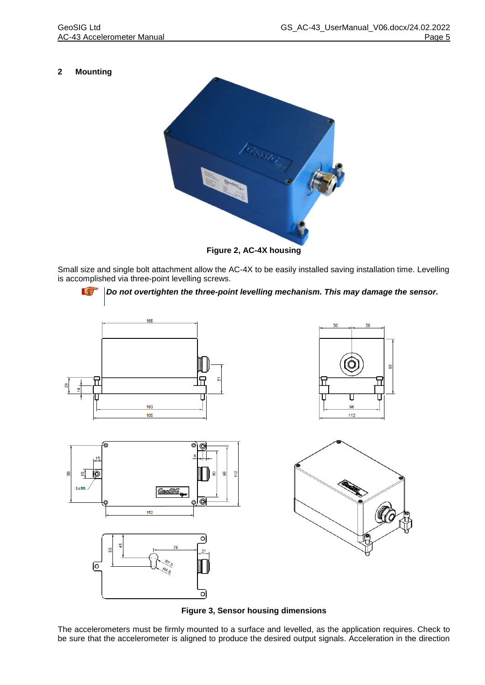### **2 Mounting**



**Figure 2, AC-4X housing**

Small size and single bolt attachment allow the AC-4X to be easily installed saving installation time. Levelling is accomplished via three-point levelling screws.



*Do not overtighten the three-point levelling mechanism. This may damage the sensor.*







**Figure 3, Sensor housing dimensions**

The accelerometers must be firmly mounted to a surface and levelled, as the application requires. Check to be sure that the accelerometer is aligned to produce the desired output signals. Acceleration in the direction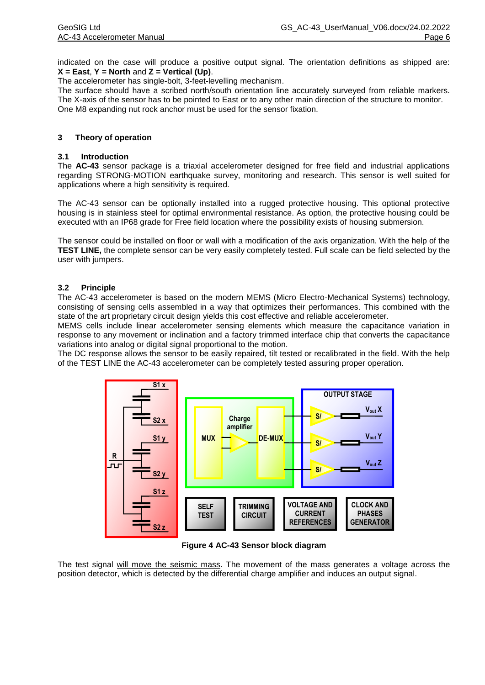indicated on the case will produce a positive output signal. The orientation definitions as shipped are: **X = East**, **Y = North** and **Z = Vertical (Up)**.

The accelerometer has single-bolt, 3-feet-levelling mechanism.

The surface should have a scribed north/south orientation line accurately surveyed from reliable markers. The X-axis of the sensor has to be pointed to East or to any other main direction of the structure to monitor. One M8 expanding nut rock anchor must be used for the sensor fixation.

#### **3 Theory of operation**

#### **3.1 Introduction**

The **AC-43** sensor package is a triaxial accelerometer designed for free field and industrial applications regarding STRONG-MOTION earthquake survey, monitoring and research. This sensor is well suited for applications where a high sensitivity is required.

The AC-43 sensor can be optionally installed into a rugged protective housing. This optional protective housing is in stainless steel for optimal environmental resistance. As option, the protective housing could be executed with an IP68 grade for Free field location where the possibility exists of housing submersion.

The sensor could be installed on floor or wall with a modification of the axis organization. With the help of the **TEST LINE,** the complete sensor can be very easily completely tested. Full scale can be field selected by the user with jumpers.

#### **3.2 Principle**

The AC-43 accelerometer is based on the modern MEMS (Micro Electro-Mechanical Systems) technology, consisting of sensing cells assembled in a way that optimizes their performances. This combined with the state of the art proprietary circuit design yields this cost effective and reliable accelerometer.

MEMS cells include linear accelerometer sensing elements which measure the capacitance variation in response to any movement or inclination and a factory trimmed interface chip that converts the capacitance variations into analog or digital signal proportional to the motion.

The DC response allows the sensor to be easily repaired, tilt tested or recalibrated in the field. With the help of the TEST LINE the AC-43 accelerometer can be completely tested assuring proper operation.



**Figure 4 AC-43 Sensor block diagram**

The test signal will move the seismic mass. The movement of the mass generates a voltage across the position detector, which is detected by the differential charge amplifier and induces an output signal.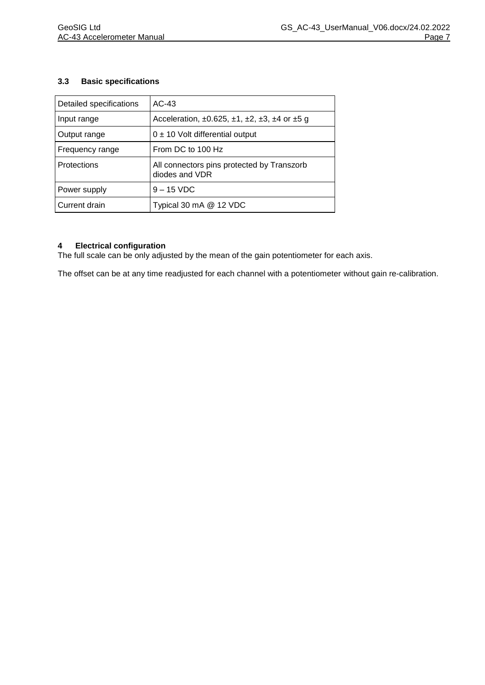#### **3.3 Basic specifications**

| Detailed specifications | $AC-43$                                                                        |  |
|-------------------------|--------------------------------------------------------------------------------|--|
| Input range             | Acceleration, $\pm 0.625$ , $\pm 1$ , $\pm 2$ , $\pm 3$ , $\pm 4$ or $\pm 5$ g |  |
| Output range            | $0 \pm 10$ Volt differential output                                            |  |
| Frequency range         | From DC to 100 Hz                                                              |  |
| <b>Protections</b>      | All connectors pins protected by Transzorb<br>diodes and VDR                   |  |
| Power supply            | $9 - 15$ VDC                                                                   |  |
| Current drain           | Typical 30 mA @ 12 VDC                                                         |  |

#### **4 Electrical configuration**

The full scale can be only adjusted by the mean of the gain potentiometer for each axis.

The offset can be at any time readjusted for each channel with a potentiometer without gain re-calibration.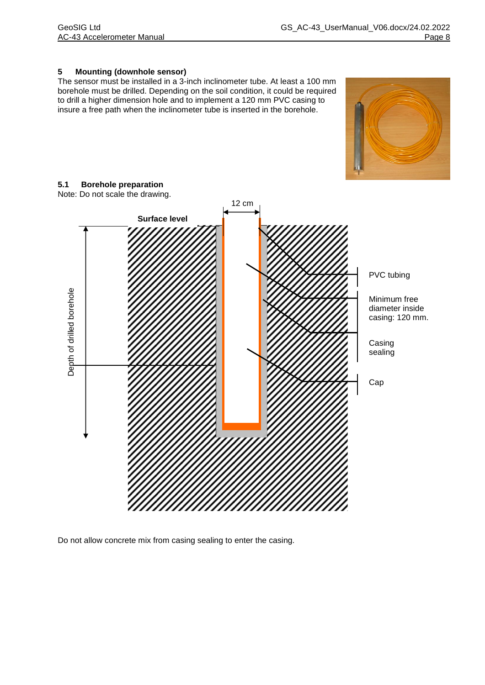#### **5 Mounting (downhole sensor)**

The sensor must be installed in a 3-inch inclinometer tube. At least a 100 mm borehole must be drilled. Depending on the soil condition, it could be required to drill a higher dimension hole and to implement a 120 mm PVC casing to insure a free path when the inclinometer tube is inserted in the borehole.

## **5.1 Borehole preparation**

12 cm **Surface level**PVC tubing Depth of drilled borehole Depth of drilled borehole Minimum free diameter inside casing: 120 mm. Casing sealing Cap

Do not allow concrete mix from casing sealing to enter the casing.



Note: Do not scale the drawing.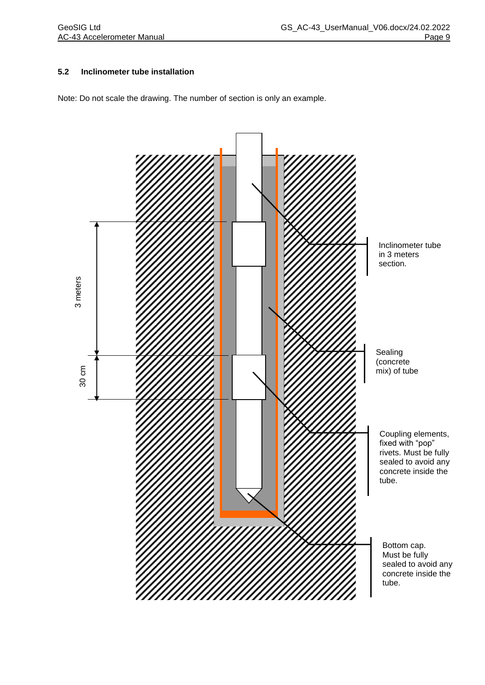#### **5.2 Inclinometer tube installation**

Note: Do not scale the drawing. The number of section is only an example.

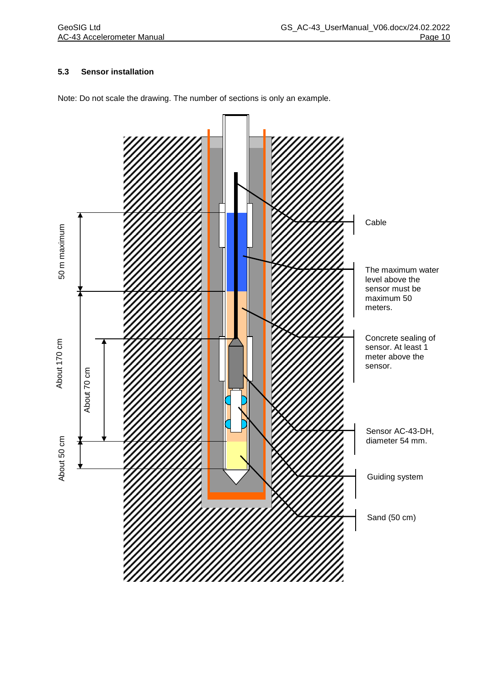### **5.3 Sensor installation**



Note: Do not scale the drawing. The number of sections is only an example.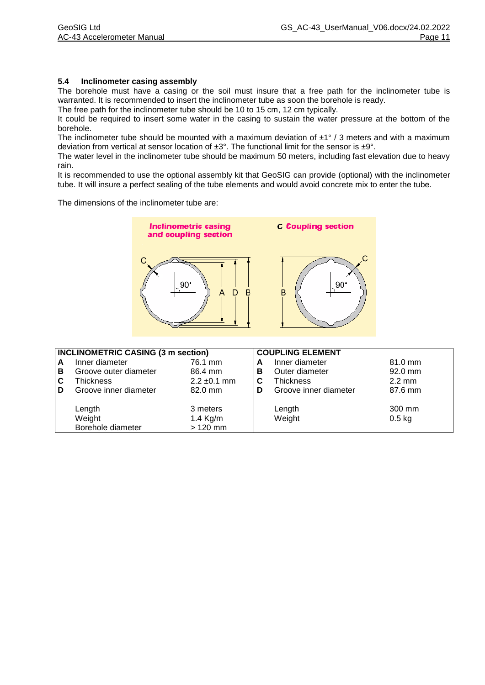#### **5.4 Inclinometer casing assembly**

The borehole must have a casing or the soil must insure that a free path for the inclinometer tube is warranted. It is recommended to insert the inclinometer tube as soon the borehole is ready.

The free path for the inclinometer tube should be 10 to 15 cm, 12 cm typically.

It could be required to insert some water in the casing to sustain the water pressure at the bottom of the borehole.

The inclinometer tube should be mounted with a maximum deviation of  $\pm 1^{\circ}$  / 3 meters and with a maximum deviation from vertical at sensor location of  $\pm 3^{\circ}$ . The functional limit for the sensor is  $\pm 9^{\circ}$ .

The water level in the inclinometer tube should be maximum 50 meters, including fast elevation due to heavy rain.

It is recommended to use the optional assembly kit that GeoSIG can provide (optional) with the inclinometer tube. It will insure a perfect sealing of the tube elements and would avoid concrete mix to enter the tube.

The dimensions of the inclinometer tube are:



|   | <b>INCLINOMETRIC CASING (3 m section)</b> |                  |   | <b>COUPLING ELEMENT</b> |                  |
|---|-------------------------------------------|------------------|---|-------------------------|------------------|
| A | Inner diameter                            | 76.1 mm          | A | Inner diameter          | $81.0$ mm        |
| В | Groove outer diameter                     | 86.4 mm          | В | Outer diameter          | $92.0$ mm        |
| С | Thickness                                 | $2.2 \pm 0.1$ mm | C | <b>Thickness</b>        | $2.2 \text{ mm}$ |
| D | Groove inner diameter                     | 82.0 mm          | D | Groove inner diameter   | 87.6 mm          |
|   |                                           |                  |   |                         |                  |
|   | Length                                    | 3 meters         |   | Length                  | 300 mm           |
|   | Weight                                    | 1.4 Kg/m         |   | Weight                  | $0.5$ kg         |
|   | Borehole diameter                         | $>120$ mm        |   |                         |                  |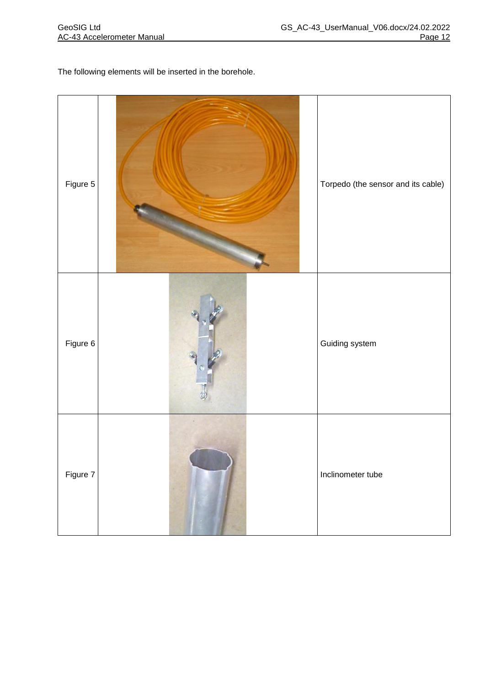The following elements will be inserted in the borehole.

| Figure 5 | Torpedo (the sensor and its cable) |
|----------|------------------------------------|
| Figure 6 | Guiding system                     |
| Figure 7 | Inclinometer tube                  |